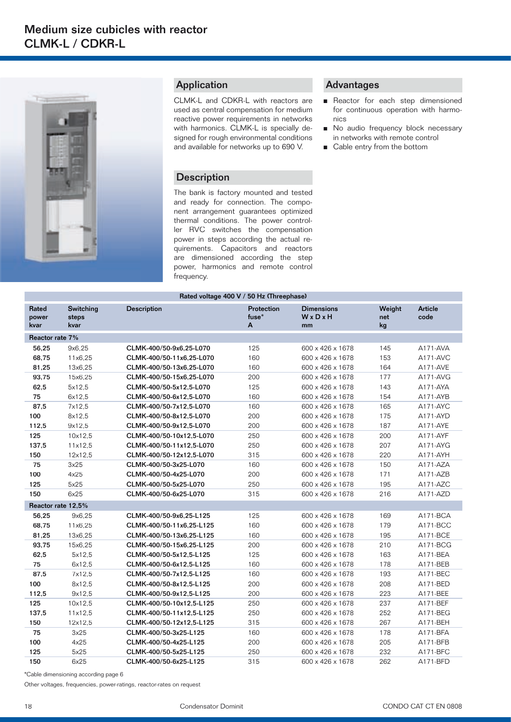

## Application

CLMK-L and CDKR-L with reactors are used as central compensation for medium reactive power requirements in networks with harmonics. CLMK-L is specially designed for rough environmental conditions and available for networks up to 690 V.

## **Description**

The bank is factory mounted and tested and ready for connection. The component arrangement guarantees optimized thermal conditions. The power controller RVC switches the compensation power in steps according the actual requirements. Capacitors and reactors are dimensioned according the step power, harmonics and remote control frequency.

## Advantages

- Reactor for each step dimensioned for continuous operation with harmo nics
- No audio frequency block necessary in networks with remote control
- Cable entry from the bottom

| Rated voltage 400 V / 50 Hz (Threephase) |                            |                          |                          |                                  |                     |                 |  |  |  |  |
|------------------------------------------|----------------------------|--------------------------|--------------------------|----------------------------------|---------------------|-----------------|--|--|--|--|
| <b>Rated</b><br>power<br>kvar            | Switching<br>steps<br>kvar | <b>Description</b>       | Protection<br>fuse*<br>A | <b>Dimensions</b><br>WxDxH<br>mm | Weight<br>net<br>kg | Article<br>code |  |  |  |  |
| Reactor rate 7%                          |                            |                          |                          |                                  |                     |                 |  |  |  |  |
| 56,25                                    | 9x6.25                     | CLMK-400/50-9x6,25-L070  | 125                      | 600 x 426 x 1678                 | 145                 | A171-AVA        |  |  |  |  |
| 68,75                                    | 11x6.25                    | CLMK-400/50-11x6,25-L070 | 160                      | 600 x 426 x 1678                 | 153                 | A171-AVC        |  |  |  |  |
| 81,25                                    | 13x6,25                    | CLMK-400/50-13x6,25-L070 | 160                      | 600 x 426 x 1678                 | 164                 | A171-AVE        |  |  |  |  |
| 93,75                                    | 15x6.25                    | CLMK-400/50-15x6.25-L070 | 200                      | 600 x 426 x 1678                 | 177                 | $A171-AVG$      |  |  |  |  |
| 62,5                                     | 5x12,5                     | CLMK-400/50-5x12,5-L070  | 125                      | 600 x 426 x 1678                 | 143                 | A171-AYA        |  |  |  |  |
| 75                                       | 6x12,5                     | CLMK-400/50-6x12,5-L070  | 160                      | 600 x 426 x 1678                 | 154                 | A171-AYB        |  |  |  |  |
| 87,5                                     | 7x12,5                     | CLMK-400/50-7x12,5-L070  | 160                      | 600 x 426 x 1678                 | 165                 | A171-AYC        |  |  |  |  |
| 100                                      | 8x12,5                     | CLMK-400/50-8x12,5-L070  | 200                      | 600 x 426 x 1678                 | 175                 | $A171-AYD$      |  |  |  |  |
| 112.5                                    | 9x12.5                     | CLMK-400/50-9x12,5-L070  | 200                      | 600 x 426 x 1678                 | 187                 | A171-AYE        |  |  |  |  |
| 125                                      | 10x12.5                    | CLMK-400/50-10x12,5-L070 | 250                      | 600 x 426 x 1678                 | 200                 | A171-AYF        |  |  |  |  |
| 137,5                                    | 11x12.5                    | CLMK-400/50-11x12,5-L070 | 250                      | 600 x 426 x 1678                 | 207                 | A171-AYG        |  |  |  |  |
| 150                                      | 12x12,5                    | CLMK-400/50-12x12,5-L070 | 315                      | 600 x 426 x 1678                 | 220                 | A171-AYH        |  |  |  |  |
| 75                                       | 3x25                       | CLMK-400/50-3x25-L070    | 160                      | 600 x 426 x 1678                 | 150                 | $A171 - AZA$    |  |  |  |  |
| 100                                      | 4x25                       | CLMK-400/50-4x25-L070    | 200                      | 600 x 426 x 1678                 | 171                 | $A171 - AZB$    |  |  |  |  |
| 125                                      | 5x25                       | CLMK-400/50-5x25-L070    | 250                      | 600 x 426 x 1678                 | 195                 | $A171-AZC$      |  |  |  |  |
| 150                                      | 6x25                       | CLMK-400/50-6x25-L070    | 315                      | 600 x 426 x 1678                 | 216                 | A171-AZD        |  |  |  |  |
| Reactor rate 12.5%                       |                            |                          |                          |                                  |                     |                 |  |  |  |  |
| 56,25                                    | 9x6.25                     | CLMK-400/50-9x6,25-L125  | 125                      | 600 x 426 x 1678                 | 169                 | A171-BCA        |  |  |  |  |
| 68,75                                    | 11x6,25                    | CLMK-400/50-11x6,25-L125 | 160                      | 600 x 426 x 1678                 | 179                 | A171-BCC        |  |  |  |  |
| 81,25                                    | 13x6,25                    | CLMK-400/50-13x6,25-L125 | 160                      | 600 x 426 x 1678                 | 195                 | A171-BCE        |  |  |  |  |
| 93,75                                    | 15x6,25                    | CLMK-400/50-15x6,25-L125 | 200                      | 600 x 426 x 1678                 | 210                 | A171-BCG        |  |  |  |  |
| 62,5                                     | 5x12,5                     | CLMK-400/50-5x12,5-L125  | 125                      | 600 x 426 x 1678                 | 163                 | A171-BEA        |  |  |  |  |
| 75                                       | 6x12,5                     | CLMK-400/50-6x12,5-L125  | 160                      | 600 x 426 x 1678                 | 178                 | A171-BEB        |  |  |  |  |
| 87,5                                     | 7x12,5                     | CLMK-400/50-7x12,5-L125  | 160                      | 600 x 426 x 1678                 | 193                 | A171-BEC        |  |  |  |  |
| 100                                      | 8x12.5                     | CLMK-400/50-8x12.5-L125  | 200                      | 600 x 426 x 1678                 | 208                 | A171-BED        |  |  |  |  |
| 112,5                                    | 9x12.5                     | CLMK-400/50-9x12,5-L125  | 200                      | 600 x 426 x 1678                 | 223                 | A171-BEE        |  |  |  |  |
| 125                                      | 10x12,5                    | CLMK-400/50-10x12,5-L125 | 250                      | 600 x 426 x 1678                 | 237                 | A171-BEF        |  |  |  |  |
| 137,5                                    | 11x12.5                    | CLMK-400/50-11x12,5-L125 | 250                      | 600 x 426 x 1678                 | 252                 | A171-BEG        |  |  |  |  |
| 150                                      | 12x12,5                    | CLMK-400/50-12x12,5-L125 | 315                      | 600 x 426 x 1678                 | 267                 | A171-BEH        |  |  |  |  |
| 75                                       | 3x25                       | CLMK-400/50-3x25-L125    | 160                      | 600 x 426 x 1678                 | 178                 | A171-BFA        |  |  |  |  |
| 100                                      | 4x25                       | CLMK-400/50-4x25-L125    | 200                      | 600 x 426 x 1678                 | 205                 | A171-BFB        |  |  |  |  |
| 125                                      | 5x25                       | CLMK-400/50-5x25-L125    | 250                      | 600 x 426 x 1678                 | 232                 | A171-BFC        |  |  |  |  |
| 150                                      | 6x25                       | CLMK-400/50-6x25-L125    | 315                      | 600 x 426 x 1678                 | 262                 | A171-BFD        |  |  |  |  |

\*Cable dimensioning according page 6

Other voltages, frequencies, power-ratings, reactor-rates on request